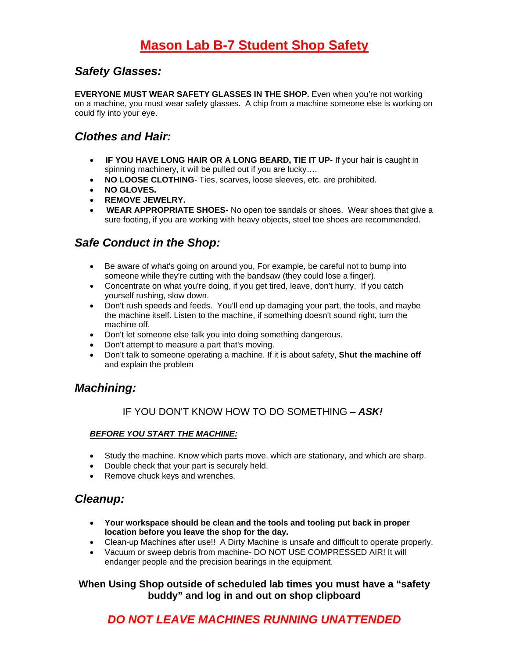### *Safety Glasses:*

**EVERYONE MUST WEAR SAFETY GLASSES IN THE SHOP.** Even when you're not working on a machine, you must wear safety glasses. A chip from a machine someone else is working on could fly into your eye.

### *Clothes and Hair:*

- • **IF YOU HAVE LONG HAIR OR A LONG BEARD, TIE IT UP-** If your hair is caught in spinning machinery, it will be pulled out if you are lucky….
- **NO LOOSE CLOTHING** Ties, scarves, loose sleeves, etc. are prohibited.
- **NO GLOVES.**
- **REMOVE JEWELRY.**
- • **WEAR APPROPRIATE SHOES-** No open toe sandals or shoes. Wear shoes that give a sure footing, if you are working with heavy objects, steel toe shoes are recommended.

### *Safe Conduct in the Shop:*

- Be aware of what's going on around you, For example, be careful not to bump into someone while they're cutting with the bandsaw (they could lose a finger).
- Concentrate on what you're doing, if you get tired, leave, don't hurry. If you catch yourself rushing, slow down.
- Don't rush speeds and feeds. You'll end up damaging your part, the tools, and maybe the machine itself. Listen to the machine, if something doesn't sound right, turn the machine off.
- Don't let someone else talk you into doing something dangerous.
- Don't attempt to measure a part that's moving.
- Don't talk to someone operating a machine. If it is about safety, **Shut the machine off** and explain the problem

### *Machining:*

#### IF YOU DON'T KNOW HOW TO DO SOMETHING – *ASK!*

#### *BEFORE YOU START THE MACHINE:*

- Study the machine. Know which parts move, which are stationary, and which are sharp.
- Double check that your part is securely held.
- Remove chuck keys and wrenches.

### *Cleanup:*

- **Your workspace should be clean and the tools and tooling put back in proper location before you leave the shop for the day.**
- Clean-up Machines after use!! A Dirty Machine is unsafe and difficult to operate properly.
- Vacuum or sweep debris from machine- DO NOT USE COMPRESSED AIR! It will endanger people and the precision bearings in the equipment.

#### **When Using Shop outside of scheduled lab times you must have a "safety buddy" and log in and out on shop clipboard**

## *DO NOT LEAVE MACHINES RUNNING UNATTENDED*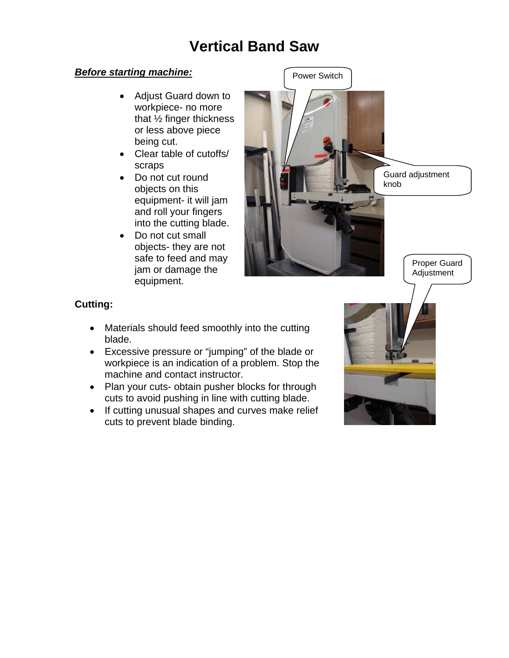# **Vertical Band Saw**

#### *Before starting machine:*

- Adjust Guard down to workpiece- no more that  $\frac{1}{2}$  finger thickness or less above piece being cut.
- Clear table of cutoffs/ scraps
- Do not cut round objects on this equipment- it will jam and roll your fingers into the cutting blade.
- Do not cut small objects- they are not safe to feed and may jam or damage the equipment.



#### **Cutting:**

- Materials should feed smoothly into the cutting blade.
- Excessive pressure or "jumping" of the blade or workpiece is an indication of a problem. Stop the machine and contact instructor.
- Plan your cuts- obtain pusher blocks for through cuts to avoid pushing in line with cutting blade.
- If cutting unusual shapes and curves make relief cuts to prevent blade binding.

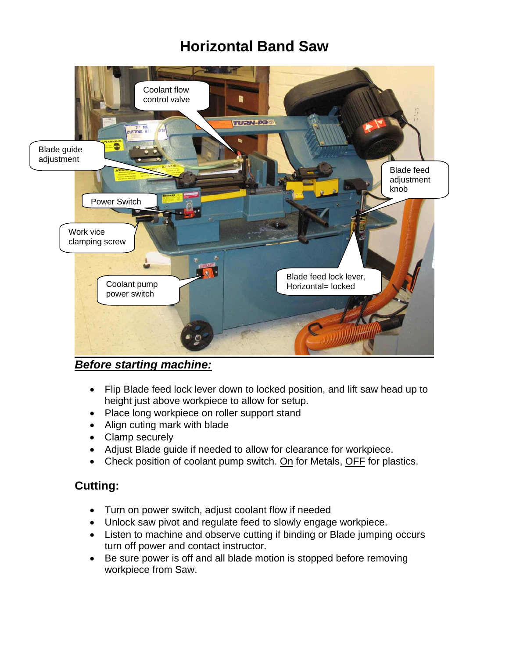# **Horizontal Band Saw**



*Before starting machine:*

- Flip Blade feed lock lever down to locked position, and lift saw head up to height just above workpiece to allow for setup.
- Place long workpiece on roller support stand
- Align cuting mark with blade
- Clamp securely
- Adjust Blade guide if needed to allow for clearance for workpiece.
- Check position of coolant pump switch. On for Metals, OFF for plastics.

### **Cutting:**

- Turn on power switch, adjust coolant flow if needed
- Unlock saw pivot and regulate feed to slowly engage workpiece.
- Listen to machine and observe cutting if binding or Blade jumping occurs turn off power and contact instructor.
- Be sure power is off and all blade motion is stopped before removing workpiece from Saw.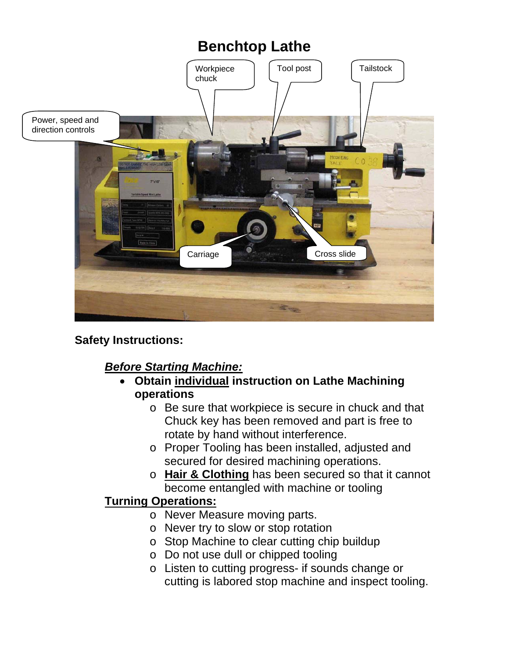

**Safety Instructions:** 

## *Before Starting Machine:*

- **Obtain individual instruction on Lathe Machining operations** 
	- o Be sure that workpiece is secure in chuck and that Chuck key has been removed and part is free to rotate by hand without interference.
	- o Proper Tooling has been installed, adjusted and secured for desired machining operations.
	- o **Hair & Clothing** has been secured so that it cannot become entangled with machine or tooling

## **Turning Operations:**

- o Never Measure moving parts.
- o Never try to slow or stop rotation
- o Stop Machine to clear cutting chip buildup
- o Do not use dull or chipped tooling
- o Listen to cutting progress- if sounds change or cutting is labored stop machine and inspect tooling.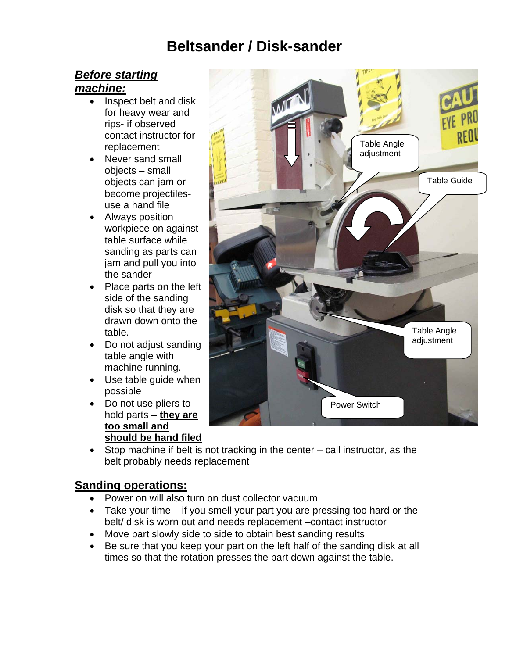# **Beltsander / Disk-sander**

## *Before starting*

## *machine:*

- Inspect belt and disk for heavy wear and rips- if observed contact instructor for replacement
- Never sand small objects – small objects can jam or become projectilesuse a hand file
- Always position workpiece on against table surface while sanding as parts can jam and pull you into the sander
- Place parts on the left side of the sanding disk so that they are drawn down onto the table.
- Do not adjust sanding table angle with machine running.
- Use table guide when possible
- Do not use pliers to hold parts – **they are too small and should be hand filed**
- Power Switch Table Angle adiustment Table Angle adjustment Table Guide
- Stop machine if belt is not tracking in the center call instructor, as the belt probably needs replacement

## **Sanding operations:**

- Power on will also turn on dust collector vacuum
- Take your time if you smell your part you are pressing too hard or the belt/ disk is worn out and needs replacement –contact instructor
- Move part slowly side to side to obtain best sanding results
- Be sure that you keep your part on the left half of the sanding disk at all times so that the rotation presses the part down against the table.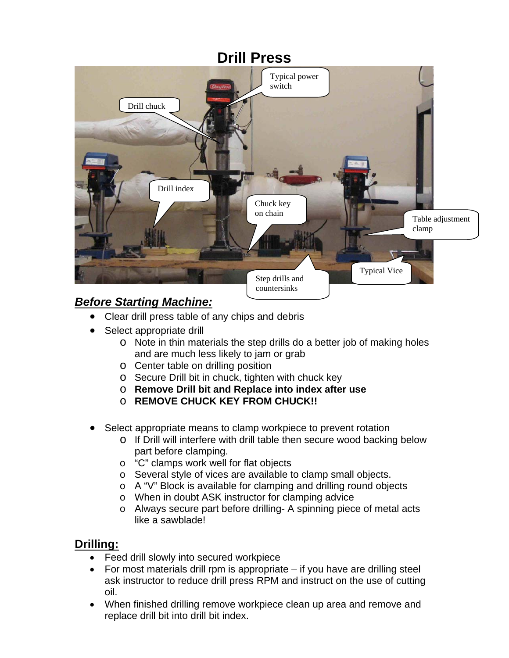# **Drill Press**  Drill chuck Typical Vice Drill index Step drills and countersinks Table adjustment clamp Chuck key on chain Typical power switch

## *Before Starting Machine:*

- Clear drill press table of any chips and debris
- Select appropriate drill
	- o Note in thin materials the step drills do a better job of making holes and are much less likely to jam or grab
	- o Center table on drilling position
	- o Secure Drill bit in chuck, tighten with chuck key
	- o **Remove Drill bit and Replace into index after use**
	- o **REMOVE CHUCK KEY FROM CHUCK!!**
- Select appropriate means to clamp workpiece to prevent rotation
	- o If Drill will interfere with drill table then secure wood backing below part before clamping.
	- o "C" clamps work well for flat objects
	- o Several style of vices are available to clamp small objects.
	- o A "V" Block is available for clamping and drilling round objects
	- o When in doubt ASK instructor for clamping advice
	- o Always secure part before drilling- A spinning piece of metal acts like a sawblade!

## **Drilling:**

- Feed drill slowly into secured workpiece
- For most materials drill rpm is appropriate if you have are drilling steel ask instructor to reduce drill press RPM and instruct on the use of cutting oil.
- When finished drilling remove workpiece clean up area and remove and replace drill bit into drill bit index.